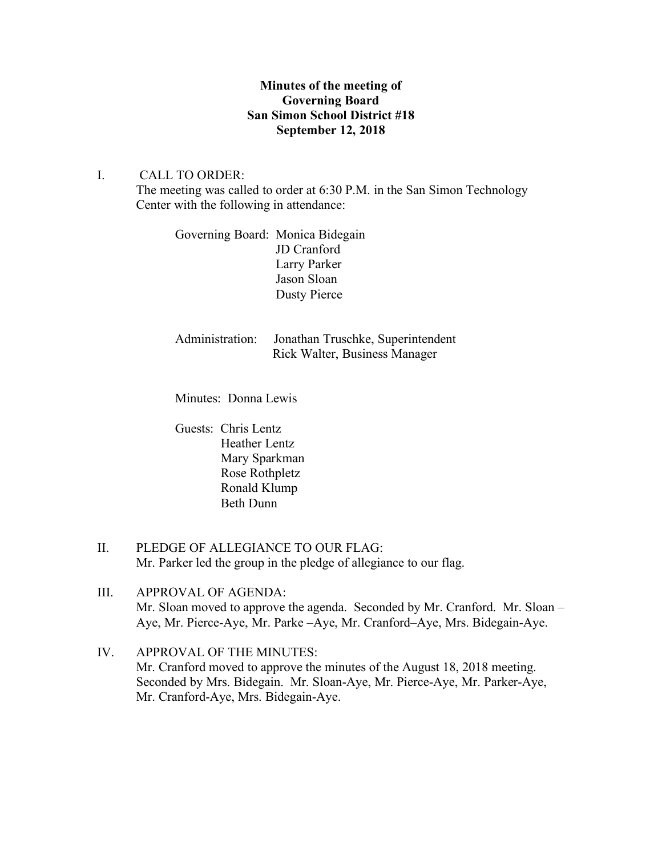## **Minutes of the meeting of Governing Board San Simon School District #18 September 12, 2018**

#### I. CALL TO ORDER:

The meeting was called to order at 6:30 P.M. in the San Simon Technology Center with the following in attendance:

Governing Board: Monica Bidegain JD Cranford Larry Parker Jason Sloan Dusty Pierce

Administration: Jonathan Truschke, Superintendent Rick Walter, Business Manager

Minutes: Donna Lewis

Guests: Chris Lentz Heather Lentz Mary Sparkman Rose Rothpletz Ronald Klump Beth Dunn

- II. PLEDGE OF ALLEGIANCE TO OUR FLAG: Mr. Parker led the group in the pledge of allegiance to our flag.
- III. APPROVAL OF AGENDA: Mr. Sloan moved to approve the agenda. Seconded by Mr. Cranford. Mr. Sloan – Aye, Mr. Pierce-Aye, Mr. Parke –Aye, Mr. Cranford–Aye, Mrs. Bidegain-Aye.
- IV. APPROVAL OF THE MINUTES: Mr. Cranford moved to approve the minutes of the August 18, 2018 meeting. Seconded by Mrs. Bidegain. Mr. Sloan-Aye, Mr. Pierce-Aye, Mr. Parker-Aye, Mr. Cranford-Aye, Mrs. Bidegain-Aye.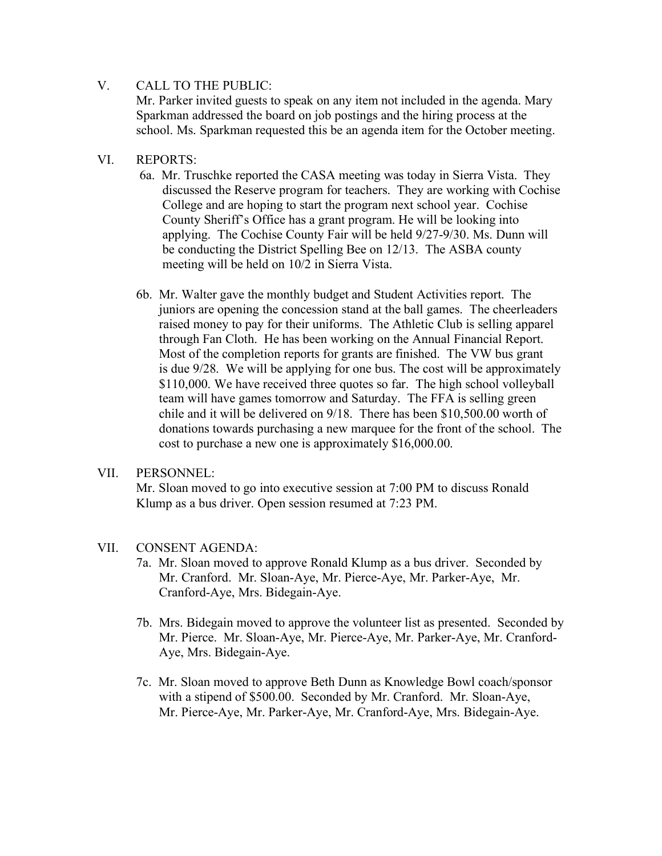# V. CALL TO THE PUBLIC:

Mr. Parker invited guests to speak on any item not included in the agenda. Mary Sparkman addressed the board on job postings and the hiring process at the school. Ms. Sparkman requested this be an agenda item for the October meeting.

# VI. REPORTS:

- 6a. Mr. Truschke reported the CASA meeting was today in Sierra Vista. They discussed the Reserve program for teachers. They are working with Cochise College and are hoping to start the program next school year. Cochise County Sheriff's Office has a grant program. He will be looking into applying. The Cochise County Fair will be held 9/27-9/30. Ms. Dunn will be conducting the District Spelling Bee on 12/13. The ASBA county meeting will be held on 10/2 in Sierra Vista.
- 6b. Mr. Walter gave the monthly budget and Student Activities report. The juniors are opening the concession stand at the ball games. The cheerleaders raised money to pay for their uniforms. The Athletic Club is selling apparel through Fan Cloth. He has been working on the Annual Financial Report. Most of the completion reports for grants are finished. The VW bus grant is due 9/28. We will be applying for one bus. The cost will be approximately \$110,000. We have received three quotes so far. The high school volleyball team will have games tomorrow and Saturday. The FFA is selling green chile and it will be delivered on 9/18. There has been \$10,500.00 worth of donations towards purchasing a new marquee for the front of the school. The cost to purchase a new one is approximately \$16,000.00.

### VII. PERSONNEL:

Mr. Sloan moved to go into executive session at 7:00 PM to discuss Ronald Klump as a bus driver. Open session resumed at 7:23 PM.

# VII. CONSENT AGENDA:

- 7a. Mr. Sloan moved to approve Ronald Klump as a bus driver. Seconded by Mr. Cranford. Mr. Sloan-Aye, Mr. Pierce-Aye, Mr. Parker-Aye, Mr. Cranford-Aye, Mrs. Bidegain-Aye.
- 7b. Mrs. Bidegain moved to approve the volunteer list as presented. Seconded by Mr. Pierce. Mr. Sloan-Aye, Mr. Pierce-Aye, Mr. Parker-Aye, Mr. Cranford- Aye, Mrs. Bidegain-Aye.
- 7c. Mr. Sloan moved to approve Beth Dunn as Knowledge Bowl coach/sponsor with a stipend of \$500.00. Seconded by Mr. Cranford. Mr. Sloan-Aye, Mr. Pierce-Aye, Mr. Parker-Aye, Mr. Cranford-Aye, Mrs. Bidegain-Aye.